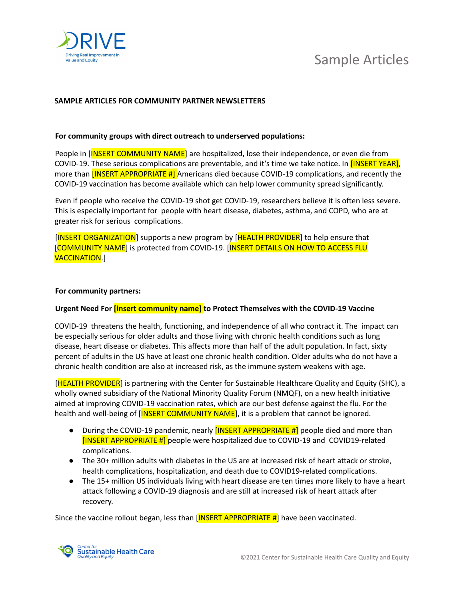

## Sample Articles

### **SAMPLE ARTICLES FOR COMMUNITY PARTNER NEWSLETTERS**

#### **For community groups with direct outreach to underserved populations:**

People in [INSERT COMMUNITY NAME] are hospitalized, lose their independence, or even die from COVID-19. These serious complications are preventable, and it's time we take notice. In [INSERT YEAR], more than **[INSERT APPROPRIATE #]** Americans died because COVID-19 complications, and recently the COVID-19 vaccination has become available which can help lower community spread significantly.

Even if people who receive the COVID-19 shot get COVID-19, researchers believe it is often less severe. This is especially important for people with heart disease, diabetes, asthma, and COPD, who are at greater risk for serious complications.

[INSERT ORGANIZATION] supports a new program by [HEALTH PROVIDER] to help ensure that [COMMUNITY NAME] is protected from COVID-19. [INSERT DETAILS ON HOW TO ACCESS FLU VACCINATION.]

#### **For community partners:**

#### **Urgent Need For [insert community name] to Protect Themselves with the COVID-19 Vaccine**

COVID-19 threatens the health, functioning, and independence of all who contract it. The impact can be especially serious for older adults and those living with chronic health conditions such as lung disease, heart disease or diabetes. This affects more than half of the adult population. In fact, sixty percent of adults in the US have at least one chronic health condition. Older adults who do not have a chronic health condition are also at increased risk, as the immune system weakens with age.

[HEALTH PROVIDER] is partnering with the Center for Sustainable Healthcare Quality and Equity (SHC), a wholly owned subsidiary of the National Minority Quality Forum (NMQF), on a new health initiative aimed at improving COVID-19 vaccination rates, which are our best defense against the flu. For the health and well-being of [INSERT COMMUNITY NAME], it is a problem that cannot be ignored.

- During the COVID-19 pandemic, nearly **[INSERT APPROPRIATE #]** people died and more than [INSERT APPROPRIATE #] people were hospitalized due to COVID-19 and COVID19-related complications.
- The 30+ million adults with diabetes in the US are at increased risk of heart attack or stroke, health complications, hospitalization, and death due to COVID19-related complications.
- The 15+ million US individuals living with heart disease are ten times more likely to have a heart attack following a COVID-19 diagnosis and are still at increased risk of heart attack after recovery.

Since the vaccine rollout began, less than  $[**INSERT** APPROPRIATE #]$  have been vaccinated.